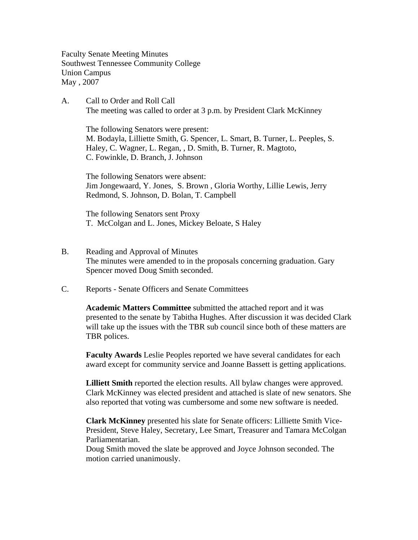Faculty Senate Meeting Minutes Southwest Tennessee Community College Union Campus May , 2007

A. Call to Order and Roll Call The meeting was called to order at 3 p.m. by President Clark McKinney

 The following Senators were present: M. Bodayla, Lilliette Smith, G. Spencer, L. Smart, B. Turner, L. Peeples, S. Haley, C. Wagner, L. Regan, , D. Smith, B. Turner, R. Magtoto, C. Fowinkle, D. Branch, J. Johnson

The following Senators were absent: Jim Jongewaard, Y. Jones, S. Brown , Gloria Worthy, Lillie Lewis, Jerry Redmond, S. Johnson, D. Bolan, T. Campbell

The following Senators sent Proxy T. McColgan and L. Jones, Mickey Beloate, S Haley

- B. Reading and Approval of Minutes The minutes were amended to in the proposals concerning graduation. Gary Spencer moved Doug Smith seconded.
- C. Reports Senate Officers and Senate Committees

**Academic Matters Committee** submitted the attached report and it was presented to the senate by Tabitha Hughes. After discussion it was decided Clark will take up the issues with the TBR sub council since both of these matters are TBR polices.

**Faculty Awards** Leslie Peoples reported we have several candidates for each award except for community service and Joanne Bassett is getting applications.

**Lilliett Smith** reported the election results. All bylaw changes were approved. Clark McKinney was elected president and attached is slate of new senators. She also reported that voting was cumbersome and some new software is needed.

**Clark McKinney** presented his slate for Senate officers: Lilliette Smith Vice-President, Steve Haley, Secretary, Lee Smart, Treasurer and Tamara McColgan Parliamentarian.

Doug Smith moved the slate be approved and Joyce Johnson seconded. The motion carried unanimously.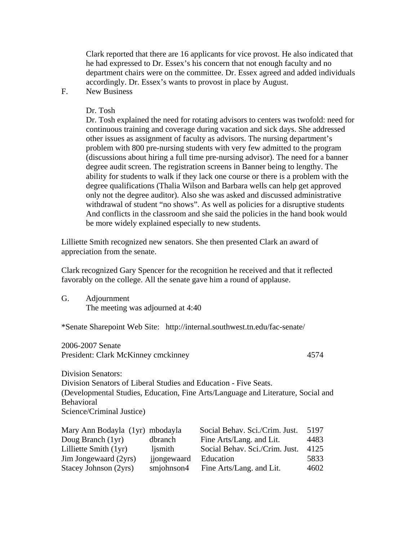Clark reported that there are 16 applicants for vice provost. He also indicated that he had expressed to Dr. Essex's his concern that not enough faculty and no department chairs were on the committee. Dr. Essex agreed and added individuals accordingly. Dr. Essex's wants to provost in place by August.

F. New Business

Dr. Tosh

Dr. Tosh explained the need for rotating advisors to centers was twofold: need for continuous training and coverage during vacation and sick days. She addressed other issues as assignment of faculty as advisors. The nursing department's problem with 800 pre-nursing students with very few admitted to the program (discussions about hiring a full time pre-nursing advisor). The need for a banner degree audit screen. The registration screens in Banner being to lengthy. The ability for students to walk if they lack one course or there is a problem with the degree qualifications (Thalia Wilson and Barbara wells can help get approved only not the degree auditor). Also she was asked and discussed administrative withdrawal of student "no shows". As well as policies for a disruptive students And conflicts in the classroom and she said the policies in the hand book would be more widely explained especially to new students.

Lilliette Smith recognized new senators. She then presented Clark an award of appreciation from the senate.

Clark recognized Gary Spencer for the recognition he received and that it reflected favorably on the college. All the senate gave him a round of applause.

G. Adjournment The meeting was adjourned at 4:40

\*Senate Sharepoint Web Site: http://internal.southwest.tn.edu/fac-senate/

2006-2007 Senate President: Clark McKinney cmckinney 4574

Division Senators: Division Senators of Liberal Studies and Education - Five Seats. (Developmental Studies, Education, Fine Arts/Language and Literature, Social and Behavioral Science/Criminal Justice)

| Mary Ann Bodayla (1yr) mbodayla |             | Social Behav. Sci./Crim. Just. | 5197 |
|---------------------------------|-------------|--------------------------------|------|
| Doug Branch (1yr)               | dbranch     | Fine Arts/Lang. and Lit.       | 4483 |
| Lilliette Smith (1yr)           | ljsmith     | Social Behav. Sci./Crim. Just. | 4125 |
| Jim Jongewaard (2yrs)           | jjongewaard | Education                      | 5833 |
| Stacey Johnson (2yrs)           | smjohnson4  | Fine Arts/Lang. and Lit.       | 4602 |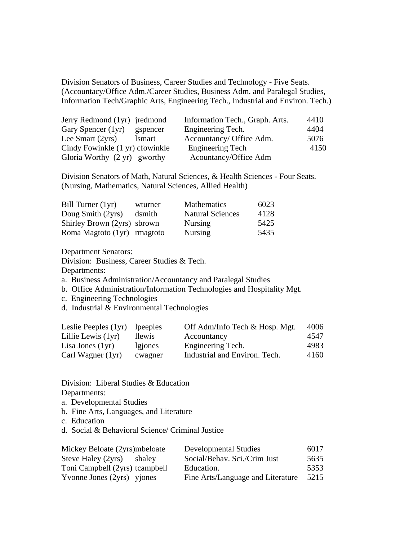Division Senators of Business, Career Studies and Technology - Five Seats. (Accountacy/Office Adm./Career Studies, Business Adm. and Paralegal Studies, Information Tech/Graphic Arts, Engineering Tech., Industrial and Environ. Tech.)

| Jerry Redmond (1yr) jredmond    |          | Information Tech., Graph. Arts. | 4410 |
|---------------------------------|----------|---------------------------------|------|
| Gary Spencer (1yr)              | gspencer | Engineering Tech.               | 4404 |
| Lee Smart $(2yrs)$              | lsmart   | Accountancy/ Office Adm.        | 5076 |
| Cindy Fowinkle (1 yr) cfowinkle |          | Engineering Tech                | 4150 |
| Gloria Worthy (2 yr) gworthy    |          | Acountancy/Office Adm           |      |

Division Senators of Math, Natural Sciences, & Health Sciences - Four Seats. (Nursing, Mathematics, Natural Sciences, Allied Health)

| Bill Turner (1yr)           | wturner | <b>Mathematics</b>      | 6023 |
|-----------------------------|---------|-------------------------|------|
| Doug Smith (2yrs)           | dsmith  | <b>Natural Sciences</b> | 4128 |
| Shirley Brown (2yrs) sbrown |         | <b>Nursing</b>          | 5425 |
| Roma Magtoto (1yr) rmagtoto |         | <b>Nursing</b>          | 5435 |

Department Senators:

Division: Business, Career Studies & Tech.

Departments:

a. Business Administration/Accountancy and Paralegal Studies

b. Office Administration/Information Technologies and Hospitality Mgt.

c. Engineering Technologies

d. Industrial & Environmental Technologies

| Leslie Peeples (1yr) | lpeeples | Off Adm/Info Tech & Hosp. Mgt. | 4006 |
|----------------------|----------|--------------------------------|------|
| Lillie Lewis (1yr)   | llewis   | Accountancy                    | 4547 |
| Lisa Jones $(1yr)$   | lgiones  | Engineering Tech.              | 4983 |
| Carl Wagner $(1yr)$  | cwagner  | Industrial and Environ. Tech.  | 4160 |

Division: Liberal Studies & Education Departments:

a. Developmental Studies

- b. Fine Arts, Languages, and Literature
- c. Education
- d. Social & Behavioral Science/ Criminal Justice

| Mickey Beloate (2yrs)mbeloate  | <b>Developmental Studies</b>      | 6017 |
|--------------------------------|-----------------------------------|------|
| Steve Haley (2yrs) shaley      | Social/Behav. Sci./Crim Just      | 5635 |
| Toni Campbell (2yrs) tcampbell | Education.                        | 5353 |
| Yvonne Jones (2yrs) yjones     | Fine Arts/Language and Literature | 5215 |